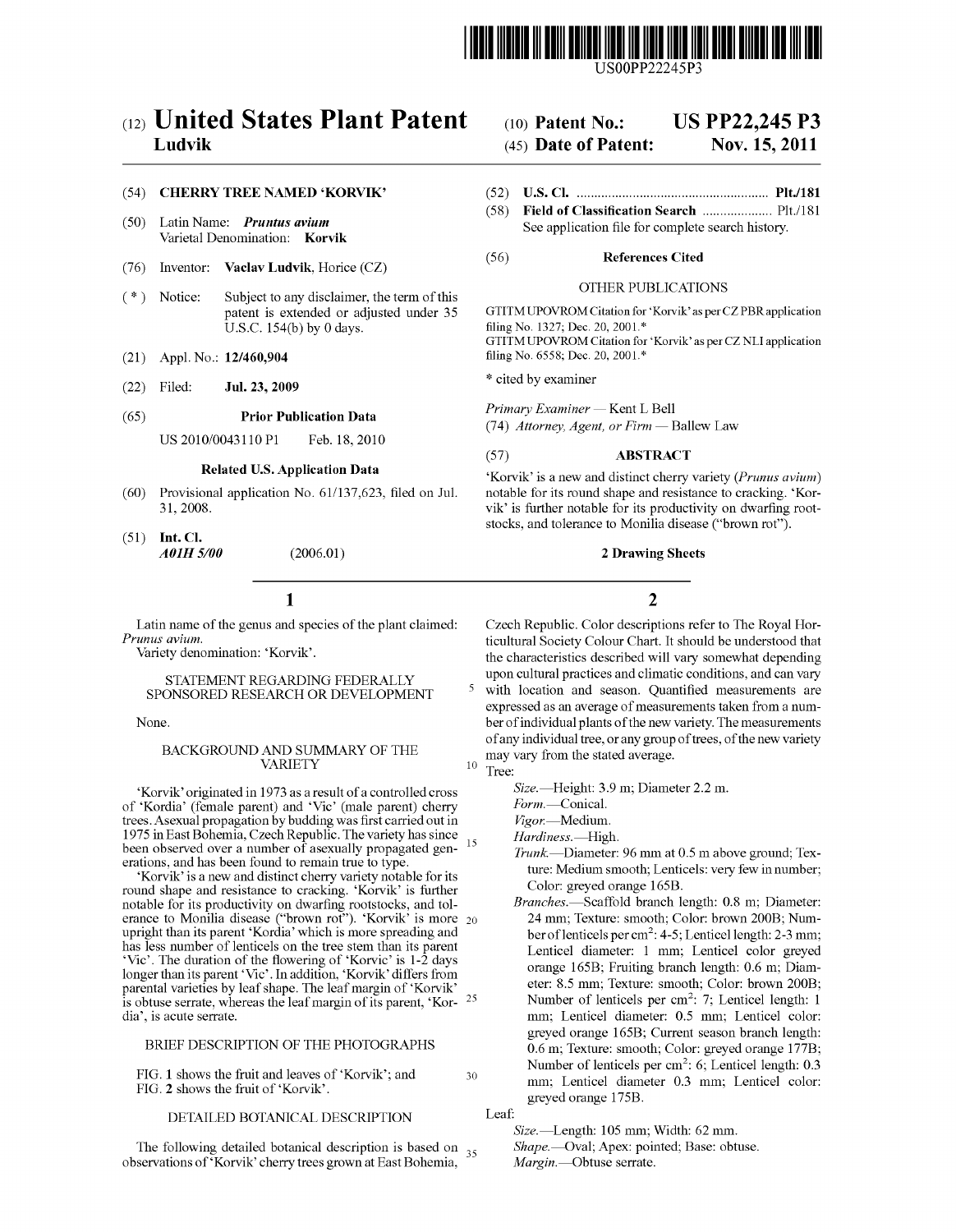

# (12) United States Plant Patent Ludvik

## (54) CHERRY TREE NAMED 'KORVIK'

- $(50)$ Latin Name: Pruntus avium Varietal Denomination: Korvik
- $(76)$ Inventor: Vaclav Ludvik, Horice (CZ)
- $(* )$ Notice: Subject to any disclaimer, the term of this patent is extended or adjusted under 35 U.S.C.  $154(b)$  by 0 days.
- Appl. No.: 12/460,904  $(21)$
- $(22)$ Filed: Jul. 23, 2009

#### **Prior Publication Data**  $(65)$

US 2010/0043110 P1 Feb. 18, 2010

## **Related U.S. Application Data**

- $(60)$ Provisional application No. 61/137,623, filed on Jul. 31, 2008.
- $(51)$  Int. Cl. **A01H 5/00**  $(2006.01)$

## $\mathbf{1}$

Latin name of the genus and species of the plant claimed: Prunus avium.

Variety denomination: 'Korvik'.

## STATEMENT REGARDING FEDERALLY SPONSORED RESEARCH OR DEVELOPMENT

None.

## BACKGROUND AND SUMMARY OF THE **VARIETY**

'Korvik' originated in 1973 as a result of a controlled cross of 'Kordia' (female parent) and 'Vic' (male parent) cherry<br>trees. Asexual propagation by budding was first carried out in 1975 in East Bohemia, Czech Republic. The variety has since been observed over a number of asexually propagated generations, and has been found to remain true to type

'Korvik' is a new and distinct cherry variety notable for its round shape and resistance to cracking. 'Korvik' is further notable for its productivity on dwarfing rootstocks, and tolerance to Monilia disease ("brown rot"). 'Korvik' is more  $_{20}$ upright than its parent 'Kordia' which is more spreading and Fragment was less number of lenticels on the tree stem than its parent<br>
'Vic'. The duration of the flowering of 'Korvic' is 1-2 days<br>
longer than its parent 'Vic'. In addition, 'Korvik' differs from parental varieties by leaf shape. The leaf margin of 'Korvik' is obtuse serrate, whereas the leaf margin of its parent, 'Kor- $25$ dia', is acute serrate.

## BRIEF DESCRIPTION OF THE PHOTOGRAPHS

FIG. 1 shows the fruit and leaves of 'Korvik'; and  $30$ FIG. 2 shows the fruit of 'Korvik'.

## DETAILED BOTANICAL DESCRIPTION

The following detailed botanical description is based on  $_{35}$ observations of 'Korvik' cherry trees grown at East Bohemia,

### **US PP22.245 P3**  $(10)$  Patent No.:

#### (45) Date of Patent: Nov. 15, 2011

- 
- $(58)$ See application file for complete search history.

#### $(56)$ **References Cited**

## **OTHER PUBLICATIONS**

GTITM UPOVROM Citation for 'Korvik' as per CZ PBR application filing No. 1327; Dec. 20, 2001.\* GTITM UPOVROM Citation for 'Korvik' as per CZ NLI application filing No. 6558; Dec. 20, 2001.\*

\* cited by examiner

Primary Examiner - Kent L Bell

(74) Attorney, Agent, or Firm - Ballew Law

#### **ABSTRACT**  $(57)$

'Korvik' is a new and distinct cherry variety (Prunus avium) notable for its round shape and resistance to cracking. 'Korvik' is further notable for its productivity on dwarfing rootstocks, and tolerance to Monilia disease ("brown rot").

### **2 Drawing Sheets**

## $\overline{2}$

Czech Republic. Color descriptions refer to The Royal Horticultural Society Colour Chart. It should be understood that the characteristics described will vary somewhat depending upon cultural practices and climatic conditions, and can vary with location and season. Quantified measurements are expressed as an average of measurements taken from a number of individual plants of the new variety. The measurements of any individual tree, or any group of trees, of the new variety may vary from the stated average.

Tree:

5

 $10$ 

15

- Size.-Height: 3.9 m; Diameter 2.2 m.
- Form.-Conical.

Vigor.-Medium.

Hardiness.-High.

- Trunk.—Diameter: 96 mm at 0.5 m above ground; Texture: Medium smooth; Lenticels: very few in number; Color: greyed orange 165B.
- Branches.-Scaffold branch length: 0.8 m; Diameter: 24 mm; Texture: smooth; Color: brown 200B; Number of lenticels per cm<sup>2</sup>: 4-5; Lenticel length: 2-3 mm; Lenticel diameter: 1 mm; Lenticel color greyed orange 165B; Fruiting branch length: 0.6 m; Diameter: 8.5 mm; Texture: smooth; Color: brown 200B; Number of lenticels per cm<sup>2</sup>: 7; Lenticel length: 1 mm; Lenticel diameter: 0.5 mm; Lenticel color: greyed orange 165B; Current season branch length: 0.6 m; Texture: smooth; Color: greved orange 177B; Number of lenticels per  $\text{cm}^2$ : 6; Lenticel length: 0.3 mm; Lenticel diameter 0.3 mm; Lenticel color: greyed orange 175B.

Size.-Length: 105 mm; Width: 62 mm.

Shape.--Oval; Apex: pointed; Base: obtuse. Margin.-Obtuse serrate.

Leaf: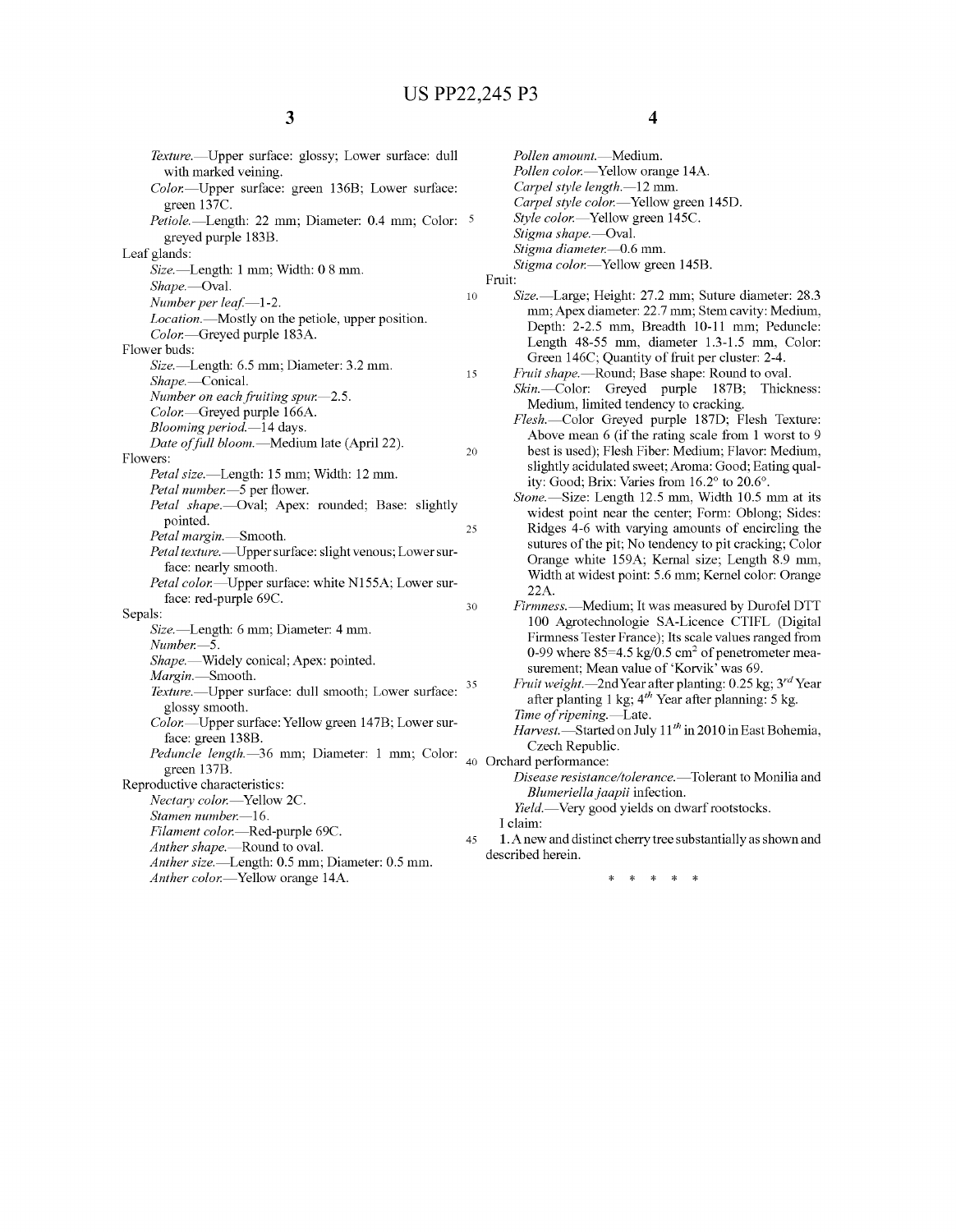| Texture.-- Upper surface: glossy; Lower surface: dull     |        |  |
|-----------------------------------------------------------|--------|--|
| with marked veining.                                      |        |  |
| Color.---Upper surface: green 136B; Lower surface:        |        |  |
| green 137C.                                               | 5      |  |
| Petiole.—Length: 22 mm; Diameter: 0.4 mm; Color:          |        |  |
| greyed purple 183B.                                       |        |  |
| Leaf glands:                                              |        |  |
| Size.-Length: 1 mm; Width: 0 8 mm.                        |        |  |
| Shape.—Oval.                                              | 10     |  |
| Number per leaf.-1-2.                                     |        |  |
| Location.-Mostly on the petiole, upper position.          |        |  |
| Color.-Greyed purple 183A.                                |        |  |
| Flower buds:                                              |        |  |
| Size.-Length: 6.5 mm; Diameter: 3.2 mm.                   | 15     |  |
| Shape.-Conical.                                           |        |  |
| Number on each fruiting spur.-2.5.                        |        |  |
| Color.-Greyed purple 166A.                                |        |  |
| Blooming period.-14 days.                                 |        |  |
| Date of full bloom.-Medium late (April 22).               |        |  |
| Flowers:                                                  | 20     |  |
| Petal size.—Length: 15 mm; Width: 12 mm.                  |        |  |
| Petal number.-5 per flower.                               |        |  |
| Petal shape.- Oval; Apex: rounded; Base: slightly         |        |  |
| pointed.                                                  |        |  |
| Petal margin.-Smooth.                                     | 25     |  |
| Petal texture. - Upper surface: slight venous; Lower sur- |        |  |
| face: nearly smooth.                                      |        |  |
| Petal color.—Upper surface: white N155A; Lower sur-       |        |  |
| face: red-purple 69C.                                     |        |  |
| Sepals:                                                   | 30     |  |
| Size.-Length: 6 mm; Diameter: 4 mm.                       |        |  |
| Number.—5.                                                |        |  |
| Shape.—Widely conical; Apex: pointed.                     |        |  |
| Margin.-Smooth.                                           |        |  |
| Texture.--- Upper surface: dull smooth; Lower surface:    | 35     |  |
| glossy smooth.                                            |        |  |
| Color.---Upper surface: Yellow green 147B; Lower sur-     |        |  |
| face: green 138B.                                         |        |  |
| Peduncle length.-36 mm; Diameter: 1 mm; Color:            |        |  |
| green 137B.                                               | $40 -$ |  |
| Reproductive characteristics:                             |        |  |
| Nectary color.-Yellow 2C.                                 |        |  |
| Stamen number.-16.                                        |        |  |
| Filament color.-Red-purple 69C.                           |        |  |
| Anther shape.-Round to oval.                              | 45     |  |
| <i>Anther size.</i> —Length: 0.5 mm; Diameter: 0.5 mm.    |        |  |
|                                                           |        |  |

Anther color.-Yellow orange 14A.

```
4
```
Pollen amount.-Medium. Pollen color.-Yellow orange 14A. Carpel style length.-12 mm. Carpel style color.-Yellow green 145D. Style color.—Yellow green 145C. Stigma shape.-Oval. Stigma diameter.-0.6 mm. Stigma color.-Yellow green 145B. Fruit: Size.—Large; Height: 27.2 mm; Suture diameter: 28.3 mm; Apex diameter: 22.7 mm; Stem cavity: Medium, Depth: 2-2.5 mm, Breadth 10-11 mm; Peduncle: Length 48-55 mm, diameter 1.3-1.5 mm, Color: Green 146C; Quantity of fruit per cluster: 2-4. Fruit shape.—Round; Base shape: Round to oval. Skin.-Color: Greyed purple 187B; Thickness: Medium, limited tendency to cracking. Flesh.-Color Greyed purple 187D; Flesh Texture: Above mean 6 (if the rating scale from 1 worst to 9 best is used); Flesh Fiber: Medium; Flavor: Medium, slightly acidulated sweet; Aroma: Good; Eating qual ity: Good; Brix: Varies from 16.2° to 20.6°. Stone.—Size: Length 12.5 mm, Width 10.5 mm at its widest point near the center; Form: Oblong; Sides: Ridges 4-6 with varying amounts of encircling the sutures of the pit; No tendency to pit cracking; Color Orange white 159A; Kernal size; Length 8.9 mm, Width at widest point: 5.6 mm; Kernel color: Orange 22A. Firmness.-Medium; It was measured by Durofel DTT 100 Agrotechnologie SA-Licence CTIFL (Digital Firmness Tester France); lts scale values ranged from 0-99 where  $85=4.5 \text{ kg}/0.5 \text{ cm}^2$  of penetrometer measurement; Mean value of 'Korvik' was 69. *Fruit weight.—2nd Year after planting: 0.25 kg; 3<sup>rd</sup> Year* after planting 1 kg; 4"' Year after planning: 5 kg. Time of ripening.—Late. Harvest. Started on July  $11^{th}$  in 2010 in East Bohemia, CZech Republic. Orchard performance: Disease resistance/tolerance.—Tolerant to Monilia and Blumeriella jaapii infection. l'ield.—Very good yields on dwarf rootstocks. I claim:

1 . A new and distinct cherry tree substantially as shown and described herein.

> $\rightarrow$  $\pm$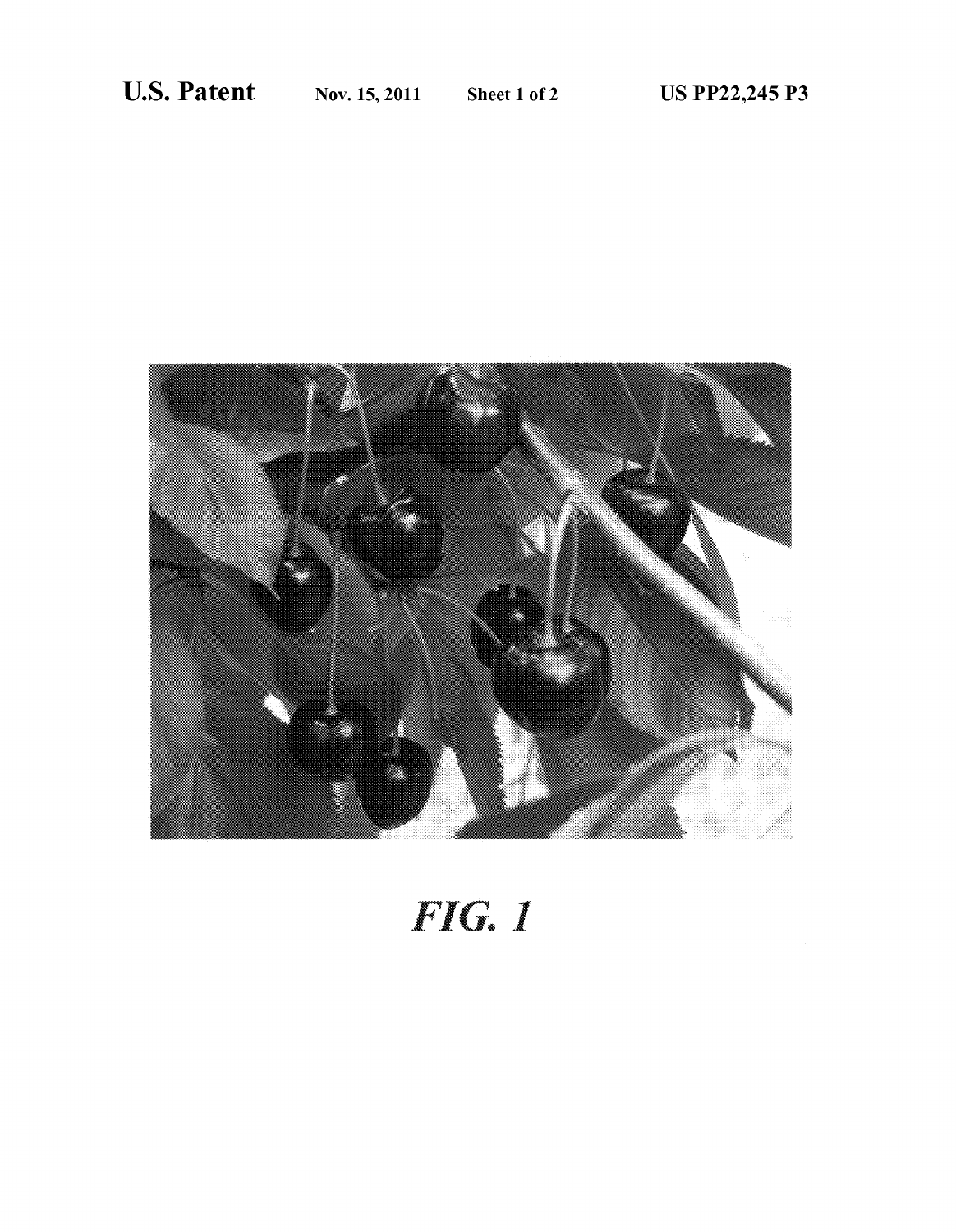

# FIG. 1